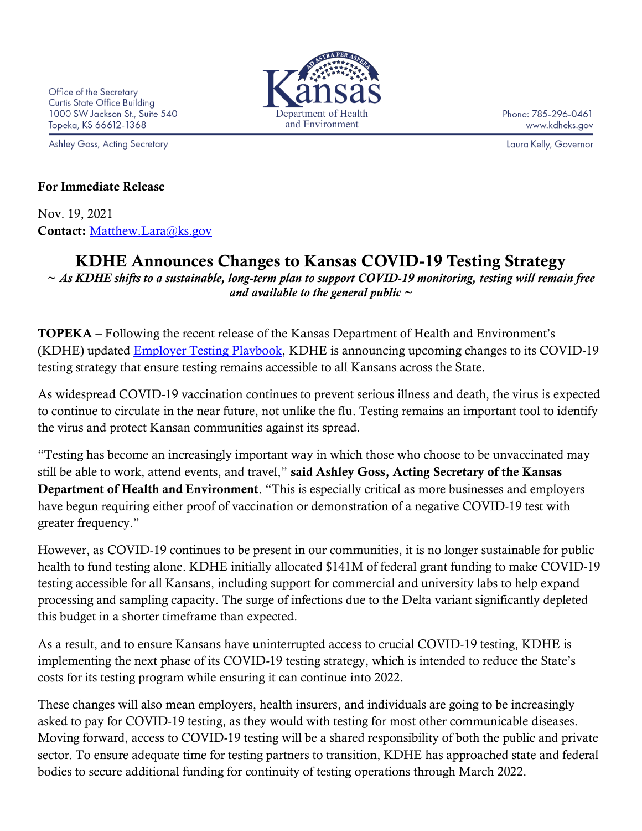Ashley Goss, Acting Secretary



Phone: 785-296-0461 www.kdheks.gov

Laura Kelly, Governor

## For Immediate Release

Nov. 19, 2021 Contact: [Matthew.Lara@ks.gov](mailto:Matthew.Lara@ks.gov)

## KDHE Announces Changes to Kansas COVID-19 Testing Strategy

*~ As KDHE shifts to a sustainable, long-term plan to support COVID-19 monitoring, testing will remain free and available to the general public ~*

TOPEKA – Following the recent release of the Kansas Department of Health and Environment's (KDHE) updated Employer [Testing Playbook,](https://www.coronavirus.kdheks.gov/291/Employer-Based-Testing) KDHE is announcing upcoming changes to its COVID-19 testing strategy that ensure testing remains accessible to all Kansans across the State.

As widespread COVID-19 vaccination continues to prevent serious illness and death, the virus is expected to continue to circulate in the near future, not unlike the flu. Testing remains an important tool to identify the virus and protect Kansan communities against its spread.

"Testing has become an increasingly important way in which those who choose to be unvaccinated may still be able to work, attend events, and travel," said Ashley Goss, Acting Secretary of the Kansas Department of Health and Environment. "This is especially critical as more businesses and employers have begun requiring either proof of vaccination or demonstration of a negative COVID-19 test with greater frequency."

However, as COVID-19 continues to be present in our communities, it is no longer sustainable for public health to fund testing alone. KDHE initially allocated \$141M of federal grant funding to make COVID-19 testing accessible for all Kansans, including support for commercial and university labs to help expand processing and sampling capacity. The surge of infections due to the Delta variant significantly depleted this budget in a shorter timeframe than expected.

As a result, and to ensure Kansans have uninterrupted access to crucial COVID-19 testing, KDHE is implementing the next phase of its COVID-19 testing strategy, which is intended to reduce the State's costs for its testing program while ensuring it can continue into 2022.

These changes will also mean employers, health insurers, and individuals are going to be increasingly asked to pay for COVID-19 testing, as they would with testing for most other communicable diseases. Moving forward, access to COVID-19 testing will be a shared responsibility of both the public and private sector. To ensure adequate time for testing partners to transition, KDHE has approached state and federal bodies to secure additional funding for continuity of testing operations through March 2022.